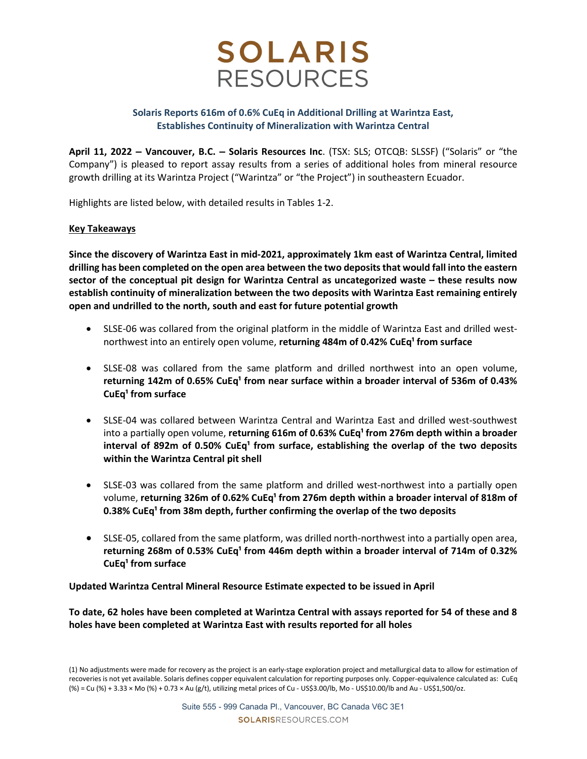

## Solaris Reports 616m of 0.6% CuEq in Additional Drilling at Warintza East, Establishes Continuity of Mineralization with Warintza Central

April 11, 2022 – Vancouver, B.C. – Solaris Resources Inc. (TSX: SLS; OTCQB: SLSSF) ("Solaris" or "the Company") is pleased to report assay results from a series of additional holes from mineral resource growth drilling at its Warintza Project ("Warintza" or "the Project") in southeastern Ecuador.

Highlights are listed below, with detailed results in Tables 1-2.

### Key Takeaways

Since the discovery of Warintza East in mid-2021, approximately 1km east of Warintza Central, limited drilling has been completed on the open area between the two deposits that would fall into the eastern sector of the conceptual pit design for Warintza Central as uncategorized waste – these results now establish continuity of mineralization between the two deposits with Warintza East remaining entirely open and undrilled to the north, south and east for future potential growth

- SLSE-06 was collared from the original platform in the middle of Warintza East and drilled westnorthwest into an entirely open volume, returning 484m of 0.42% CuEq<sup>1</sup> from surface
- SLSE-08 was collared from the same platform and drilled northwest into an open volume, returning 142m of 0.65% CuEq<sup>1</sup> from near surface within a broader interval of 536m of 0.43% CuEq $<sup>1</sup>$  from surface</sup>
- SLSE-04 was collared between Warintza Central and Warintza East and drilled west-southwest into a partially open volume, returning  $616m$  of 0.63% CuEq<sup>1</sup> from 276m depth within a broader interval of 892m of 0.50% CuEq<sup>1</sup> from surface, establishing the overlap of the two deposits within the Warintza Central pit shell
- SLSE-03 was collared from the same platform and drilled west-northwest into a partially open volume, returning 326m of 0.62% CuEq<sup>1</sup> from 276m depth within a broader interval of 818m of 0.38% CuEq<sup>1</sup> from 38m depth, further confirming the overlap of the two deposits
- SLSE-05, collared from the same platform, was drilled north-northwest into a partially open area, returning 268m of 0.53% CuEq<sup>1</sup> from 446m depth within a broader interval of 714m of 0.32% CuEq $<sup>1</sup>$  from surface</sup>

Updated Warintza Central Mineral Resource Estimate expected to be issued in April

To date, 62 holes have been completed at Warintza Central with assays reported for 54 of these and 8 holes have been completed at Warintza East with results reported for all holes

<sup>(1)</sup> No adjustments were made for recovery as the project is an early-stage exploration project and metallurgical data to allow for estimation of recoveries is not yet available. Solaris defines copper equivalent calculation for reporting purposes only. Copper-equivalence calculated as: CuEq (%) = Cu (%) + 3.33 × Mo (%) + 0.73 × Au (g/t), utilizing metal prices of Cu - US\$3.00/lb, Mo - US\$10.00/lb and Au - US\$1,500/oz.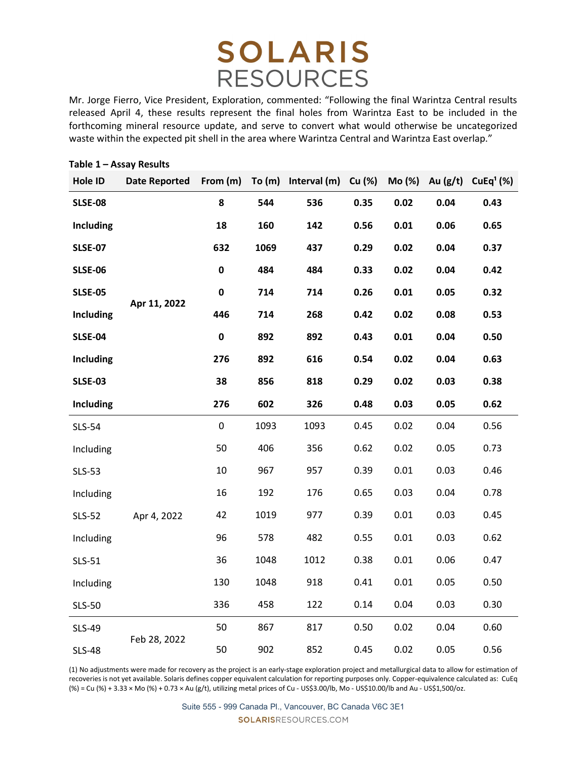Mr. Jorge Fierro, Vice President, Exploration, commented: "Following the final Warintza Central results released April 4, these results represent the final holes from Warintza East to be included in the forthcoming mineral resource update, and serve to convert what would otherwise be uncategorized waste within the expected pit shell in the area where Warintza Central and Warintza East overlap."

| Hole ID          | <b>Date Reported</b> | From (m)  |      | To (m) Interval (m) Cu (%) |      | Mo (%) | Au $(g/t)$ | CuEq <sup>1</sup> (%) |
|------------------|----------------------|-----------|------|----------------------------|------|--------|------------|-----------------------|
| <b>SLSE-08</b>   | Apr 11, 2022         | 8         | 544  | 536                        | 0.35 | 0.02   | 0.04       | 0.43                  |
| Including        |                      | 18        | 160  | 142                        | 0.56 | 0.01   | 0.06       | 0.65                  |
| <b>SLSE-07</b>   |                      | 632       | 1069 | 437                        | 0.29 | 0.02   | 0.04       | 0.37                  |
| <b>SLSE-06</b>   |                      | $\pmb{0}$ | 484  | 484                        | 0.33 | 0.02   | 0.04       | 0.42                  |
| <b>SLSE-05</b>   |                      | $\pmb{0}$ | 714  | 714                        | 0.26 | 0.01   | 0.05       | 0.32                  |
| <b>Including</b> |                      | 446       | 714  | 268                        | 0.42 | 0.02   | 0.08       | 0.53                  |
| <b>SLSE-04</b>   |                      | $\pmb{0}$ | 892  | 892                        | 0.43 | 0.01   | 0.04       | 0.50                  |
| <b>Including</b> |                      | 276       | 892  | 616                        | 0.54 | 0.02   | 0.04       | 0.63                  |
| <b>SLSE-03</b>   |                      | 38        | 856  | 818                        | 0.29 | 0.02   | 0.03       | 0.38                  |
| <b>Including</b> |                      | 276       | 602  | 326                        | 0.48 | 0.03   | 0.05       | 0.62                  |
| <b>SLS-54</b>    |                      | $\pmb{0}$ | 1093 | 1093                       | 0.45 | 0.02   | 0.04       | 0.56                  |
| Including        |                      | 50        | 406  | 356                        | 0.62 | 0.02   | 0.05       | 0.73                  |
| <b>SLS-53</b>    |                      | 10        | 967  | 957                        | 0.39 | 0.01   | 0.03       | 0.46                  |
| Including        |                      | 16        | 192  | 176                        | 0.65 | 0.03   | 0.04       | 0.78                  |
| <b>SLS-52</b>    | Apr 4, 2022          | 42        | 1019 | 977                        | 0.39 | 0.01   | 0.03       | 0.45                  |
| Including        |                      | 96        | 578  | 482                        | 0.55 | 0.01   | 0.03       | 0.62                  |
| <b>SLS-51</b>    |                      | 36        | 1048 | 1012                       | 0.38 | 0.01   | 0.06       | 0.47                  |
| Including        |                      | 130       | 1048 | 918                        | 0.41 | 0.01   | 0.05       | 0.50                  |
| <b>SLS-50</b>    |                      | 336       | 458  | 122                        | 0.14 | 0.04   | 0.03       | 0.30                  |
| <b>SLS-49</b>    |                      | 50        | 867  | 817                        | 0.50 | 0.02   | 0.04       | 0.60                  |
| <b>SLS-48</b>    | Feb 28, 2022         | 50        | 902  | 852                        | 0.45 | 0.02   | 0.05       | 0.56                  |

#### Table 1 – Assay Results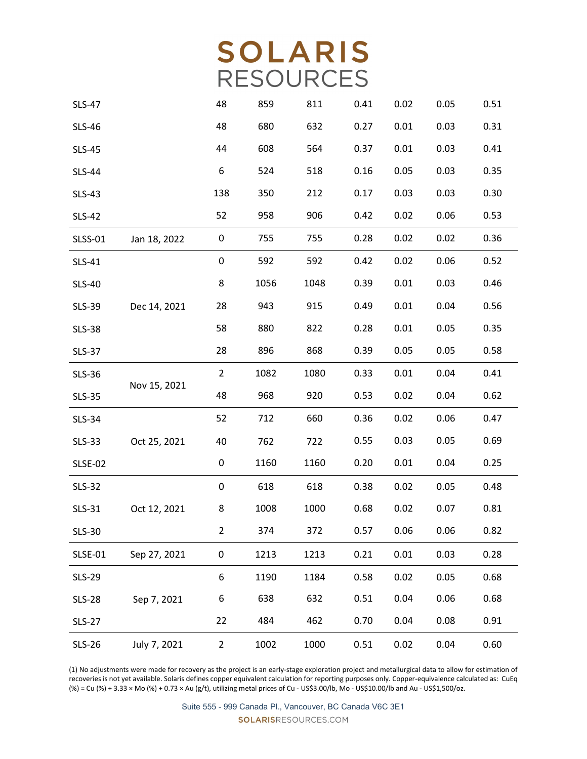| <b>SLS-47</b>  |              | 48             | 859  | 811  | 0.41 | 0.02 | 0.05 | 0.51 |
|----------------|--------------|----------------|------|------|------|------|------|------|
| <b>SLS-46</b>  |              | 48             | 680  | 632  | 0.27 | 0.01 | 0.03 | 0.31 |
| <b>SLS-45</b>  |              | 44             | 608  | 564  | 0.37 | 0.01 | 0.03 | 0.41 |
| <b>SLS-44</b>  |              | 6              | 524  | 518  | 0.16 | 0.05 | 0.03 | 0.35 |
| <b>SLS-43</b>  |              | 138            | 350  | 212  | 0.17 | 0.03 | 0.03 | 0.30 |
| <b>SLS-42</b>  |              | 52             | 958  | 906  | 0.42 | 0.02 | 0.06 | 0.53 |
| <b>SLSS-01</b> | Jan 18, 2022 | 0              | 755  | 755  | 0.28 | 0.02 | 0.02 | 0.36 |
| <b>SLS-41</b>  |              | 0              | 592  | 592  | 0.42 | 0.02 | 0.06 | 0.52 |
| <b>SLS-40</b>  |              | 8              | 1056 | 1048 | 0.39 | 0.01 | 0.03 | 0.46 |
| <b>SLS-39</b>  | Dec 14, 2021 | 28             | 943  | 915  | 0.49 | 0.01 | 0.04 | 0.56 |
| <b>SLS-38</b>  |              | 58             | 880  | 822  | 0.28 | 0.01 | 0.05 | 0.35 |
| <b>SLS-37</b>  |              | 28             | 896  | 868  | 0.39 | 0.05 | 0.05 | 0.58 |
| <b>SLS-36</b>  |              | $\overline{2}$ | 1082 | 1080 | 0.33 | 0.01 | 0.04 | 0.41 |
| <b>SLS-35</b>  | Nov 15, 2021 | 48             | 968  | 920  | 0.53 | 0.02 | 0.04 | 0.62 |
| <b>SLS-34</b>  |              | 52             | 712  | 660  | 0.36 | 0.02 | 0.06 | 0.47 |
| <b>SLS-33</b>  | Oct 25, 2021 | 40             | 762  | 722  | 0.55 | 0.03 | 0.05 | 0.69 |
| <b>SLSE-02</b> |              | 0              | 1160 | 1160 | 0.20 | 0.01 | 0.04 | 0.25 |
| <b>SLS-32</b>  |              | $\pmb{0}$      | 618  | 618  | 0.38 | 0.02 | 0.05 | 0.48 |
| <b>SLS-31</b>  | Oct 12, 2021 | 8              | 1008 | 1000 | 0.68 | 0.02 | 0.07 | 0.81 |
| SLS-30         |              | 2              | 374  | 372  | 0.57 | 0.06 | 0.06 | 0.82 |
| <b>SLSE-01</b> | Sep 27, 2021 | $\pmb{0}$      | 1213 | 1213 | 0.21 | 0.01 | 0.03 | 0.28 |
| <b>SLS-29</b>  |              | 6              | 1190 | 1184 | 0.58 | 0.02 | 0.05 | 0.68 |
| <b>SLS-28</b>  | Sep 7, 2021  | 6              | 638  | 632  | 0.51 | 0.04 | 0.06 | 0.68 |
| <b>SLS-27</b>  |              | 22             | 484  | 462  | 0.70 | 0.04 | 0.08 | 0.91 |
| <b>SLS-26</b>  | July 7, 2021 | $\overline{2}$ | 1002 | 1000 | 0.51 | 0.02 | 0.04 | 0.60 |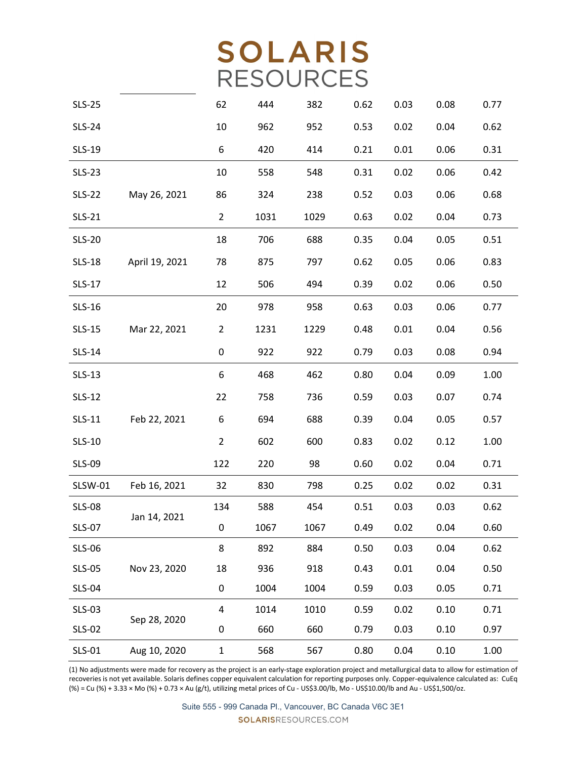| <b>SLS-25</b> |                | 62             | 444  | 382  | 0.62 | 0.03 | 0.08 | 0.77 |
|---------------|----------------|----------------|------|------|------|------|------|------|
| <b>SLS-24</b> |                | 10             | 962  | 952  | 0.53 | 0.02 | 0.04 | 0.62 |
| <b>SLS-19</b> |                | 6              | 420  | 414  | 0.21 | 0.01 | 0.06 | 0.31 |
| <b>SLS-23</b> |                | 10             | 558  | 548  | 0.31 | 0.02 | 0.06 | 0.42 |
| <b>SLS-22</b> | May 26, 2021   | 86             | 324  | 238  | 0.52 | 0.03 | 0.06 | 0.68 |
| <b>SLS-21</b> |                | $\overline{2}$ | 1031 | 1029 | 0.63 | 0.02 | 0.04 | 0.73 |
| <b>SLS-20</b> |                | 18             | 706  | 688  | 0.35 | 0.04 | 0.05 | 0.51 |
| <b>SLS-18</b> | April 19, 2021 | 78             | 875  | 797  | 0.62 | 0.05 | 0.06 | 0.83 |
| SLS-17        |                | 12             | 506  | 494  | 0.39 | 0.02 | 0.06 | 0.50 |
| SLS-16        |                | 20             | 978  | 958  | 0.63 | 0.03 | 0.06 | 0.77 |
| <b>SLS-15</b> | Mar 22, 2021   | 2              | 1231 | 1229 | 0.48 | 0.01 | 0.04 | 0.56 |
| <b>SLS-14</b> |                | 0              | 922  | 922  | 0.79 | 0.03 | 0.08 | 0.94 |
| <b>SLS-13</b> |                | 6              | 468  | 462  | 0.80 | 0.04 | 0.09 | 1.00 |
| <b>SLS-12</b> |                | 22             | 758  | 736  | 0.59 | 0.03 | 0.07 | 0.74 |
| <b>SLS-11</b> | Feb 22, 2021   | 6              | 694  | 688  | 0.39 | 0.04 | 0.05 | 0.57 |
| <b>SLS-10</b> |                | $\overline{2}$ | 602  | 600  | 0.83 | 0.02 | 0.12 | 1.00 |
| <b>SLS-09</b> |                | 122            | 220  | 98   | 0.60 | 0.02 | 0.04 | 0.71 |
| SLSW-01       | Feb 16, 2021   | 32             | 830  | 798  | 0.25 | 0.02 | 0.02 | 0.31 |
| <b>SLS-08</b> |                | 134            | 588  | 454  | 0.51 | 0.03 | 0.03 | 0.62 |
| <b>SLS-07</b> | Jan 14, 2021   | 0              | 1067 | 1067 | 0.49 | 0.02 | 0.04 | 0.60 |
| <b>SLS-06</b> |                | 8              | 892  | 884  | 0.50 | 0.03 | 0.04 | 0.62 |
| <b>SLS-05</b> | Nov 23, 2020   | 18             | 936  | 918  | 0.43 | 0.01 | 0.04 | 0.50 |
| <b>SLS-04</b> |                | 0              | 1004 | 1004 | 0.59 | 0.03 | 0.05 | 0.71 |
| <b>SLS-03</b> |                | 4              | 1014 | 1010 | 0.59 | 0.02 | 0.10 | 0.71 |
| <b>SLS-02</b> | Sep 28, 2020   | 0              | 660  | 660  | 0.79 | 0.03 | 0.10 | 0.97 |
| <b>SLS-01</b> | Aug 10, 2020   | 1              | 568  | 567  | 0.80 | 0.04 | 0.10 | 1.00 |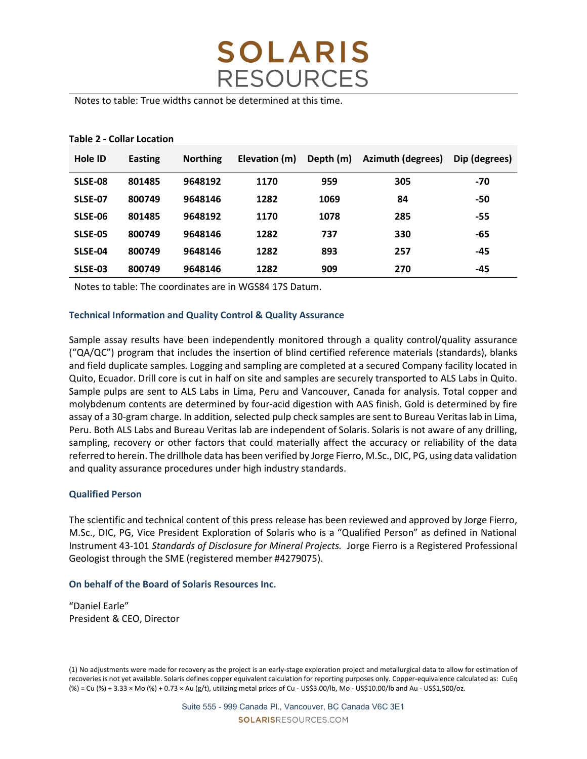

Notes to table: True widths cannot be determined at this time.

| Hole ID        | <b>Easting</b> | <b>Northing</b> | Elevation (m) | Depth (m) | <b>Azimuth (degrees)</b> | Dip (degrees) |
|----------------|----------------|-----------------|---------------|-----------|--------------------------|---------------|
| SLSE-08        | 801485         | 9648192         | 1170          | 959       | 305                      | -70           |
| <b>SLSE-07</b> | 800749         | 9648146         | 1282          | 1069      | 84                       | -50           |
| SLSE-06        | 801485         | 9648192         | 1170          | 1078      | 285                      | -55           |
| <b>SLSE-05</b> | 800749         | 9648146         | 1282          | 737       | 330                      | -65           |
| SLSE-04        | 800749         | 9648146         | 1282          | 893       | 257                      | $-45$         |
| SLSE-03        | 800749         | 9648146         | 1282          | 909       | 270                      | $-45$         |

#### Table 2 - Collar Location

Notes to table: The coordinates are in WGS84 17S Datum.

### Technical Information and Quality Control & Quality Assurance

Sample assay results have been independently monitored through a quality control/quality assurance ("QA/QC") program that includes the insertion of blind certified reference materials (standards), blanks and field duplicate samples. Logging and sampling are completed at a secured Company facility located in Quito, Ecuador. Drill core is cut in half on site and samples are securely transported to ALS Labs in Quito. Sample pulps are sent to ALS Labs in Lima, Peru and Vancouver, Canada for analysis. Total copper and molybdenum contents are determined by four-acid digestion with AAS finish. Gold is determined by fire assay of a 30-gram charge. In addition, selected pulp check samples are sent to Bureau Veritas lab in Lima, Peru. Both ALS Labs and Bureau Veritas lab are independent of Solaris. Solaris is not aware of any drilling, sampling, recovery or other factors that could materially affect the accuracy or reliability of the data referred to herein. The drillhole data has been verified by Jorge Fierro, M.Sc., DIC, PG, using data validation and quality assurance procedures under high industry standards.

#### Qualified Person

The scientific and technical content of this press release has been reviewed and approved by Jorge Fierro, M.Sc., DIC, PG, Vice President Exploration of Solaris who is a "Qualified Person" as defined in National Instrument 43-101 Standards of Disclosure for Mineral Projects. Jorge Fierro is a Registered Professional Geologist through the SME (registered member #4279075).

#### On behalf of the Board of Solaris Resources Inc.

"Daniel Earle" President & CEO, Director

<sup>(1)</sup> No adjustments were made for recovery as the project is an early-stage exploration project and metallurgical data to allow for estimation of recoveries is not yet available. Solaris defines copper equivalent calculation for reporting purposes only. Copper-equivalence calculated as: CuEq (%) = Cu (%) + 3.33 × Mo (%) + 0.73 × Au (g/t), utilizing metal prices of Cu - US\$3.00/lb, Mo - US\$10.00/lb and Au - US\$1,500/oz.